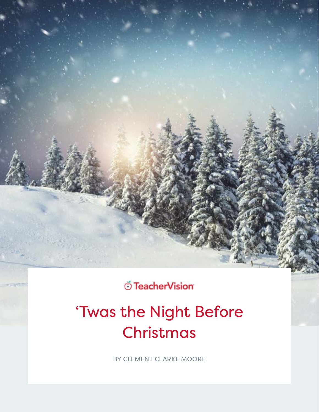**Ö** TeacherVision

# 'Twas the Night Before Christmas

BY CLEMENT CLARKE MOORE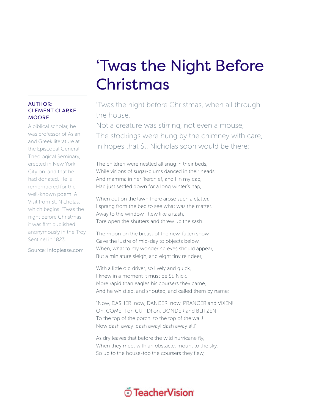## 'Twas the Night Before Christmas

### 'Twas the night before Christmas, when all through the house,

Not a creature was stirring, not even a mouse; The stockings were hung by the chimney with care, In hopes that St. Nicholas soon would be there;

The children were nestled all snug in their beds, While visions of sugar-plums danced in their heads; And mamma in her 'kerchief, and I in my cap, Had just settled down for a long winter's nap,

When out on the lawn there arose such a clatter. I sprang from the bed to see what was the matter. Away to the window I flew like a flash, Tore open the shutters and threw up the sash.

The moon on the breast of the new-fallen snow Gave the lustre of mid-day to objects below, When, what to my wondering eyes should appear, But a miniature sleigh, and eight tiny reindeer,

With a little old driver, so lively and quick, I knew in a moment it must be St. Nick. More rapid than eagles his coursers they came, And he whistled, and shouted, and called them by name;

"Now, DASHER! now, DANCER! now, PRANCER and VIXEN! On, COMET! on CUPID! on, DONDER and BLITZEN! To the top of the porch! to the top of the wall! Now dash away! dash away! dash away all!"

As dry leaves that before the wild hurricane fly, When they meet with an obstacle, mount to the sky, So up to the house-top the coursers they flew,

#### AUTHOR: CLEMENT CLARKE **MOORE**

A biblical scholar, he was professor of Asian and Greek literature at the Episcopal General Theological Seminary, erected in New York City on land that he had donated. He is remembered for the well-known poem A Visit from St. Nicholas, which begins  'Twas the night before Christmas it was first published anonymously in the Troy Sentinel in 1823.

Source: Infoplease.com

## ് TeacherVision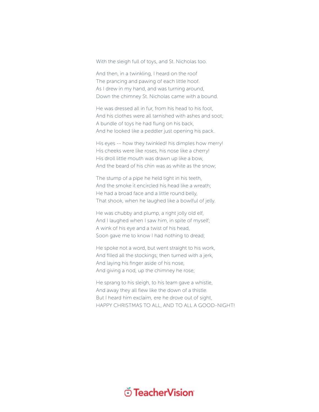With the sleigh full of toys, and St. Nicholas too.

And then, in a twinkling, I heard on the roof The prancing and pawing of each little hoof. As I drew in my hand, and was turning around, Down the chimney St. Nicholas came with a bound.

He was dressed all in fur, from his head to his foot, And his clothes were all tarnished with ashes and soot; A bundle of toys he had flung on his back, And he looked like a peddler just opening his pack.

His eyes -- how they twinkled! his dimples how merry! His cheeks were like roses, his nose like a cherry! His droll little mouth was drawn up like a bow, And the beard of his chin was as white as the snow;

The stump of a pipe he held tight in his teeth, And the smoke it encircled his head like a wreath; He had a broad face and a little round belly, That shook, when he laughed like a bowlful of jelly.

He was chubby and plump, a right jolly old elf, And I laughed when I saw him, in spite of myself; A wink of his eye and a twist of his head, Soon gave me to know I had nothing to dread;

He spoke not a word, but went straight to his work, And filled all the stockings; then turned with a jerk, And laying his finger aside of his nose, And giving a nod, up the chimney he rose;

He sprang to his sleigh, to his team gave a whistle, And away they all flew like the down of a thistle. But I heard him exclaim, ere he drove out of sight, HAPPY CHRISTMAS TO ALL, AND TO ALL A GOOD-NIGHT!

## **Ö** TeacherVision